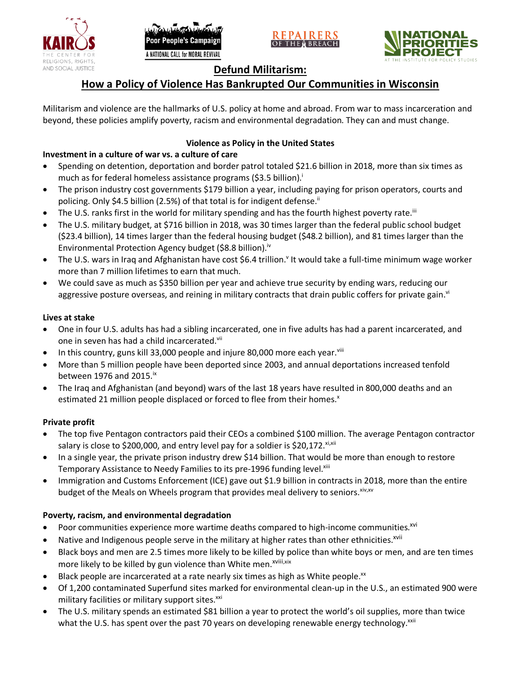





# **Defund Militarism:**

# **How a Policy of Violence Has Bankrupted Our Communities in Wisconsin**

Militarism and violence are the hallmarks of U.S. policy at home and abroad. From war to mass incarceration and beyond, these policies amplify poverty, racism and environmental degradation. They can and must change.

# **Violence as Policy in the United States**

# **Investment in a culture of war vs. a culture of care**

- Spending on detention, deportation and border patrol totaled \$21.6 billion in 2018, more than six times as much as for federal homeless assistance programs (\$3.5 billion).<sup>i</sup>
- The prison industry cost governments \$179 billion a year, including paying for prison operators, courts and policing. Only \$4.5 billion (2.5%) of that total is for indigent defense.<sup>ii</sup>
- The U.S. ranks first in the world for military spending and has the fourth highest poverty rate.<sup>iii</sup>
- The U.S. military budget, at \$716 billion in 2018, was 30 times larger than the federal public school budget (\$23.4 billion), 14 times larger than the federal housing budget (\$48.2 billion), and 81 times larger than the Environmental Protection Agency budget (\$8.8 billion).<sup>iv</sup>
- The U.S. wars in Iraq and Afghanistan have cost \$6.4 trillion.<sup>v</sup> It would take a full-time minimum wage worker more than 7 million lifetimes to earn that much.
- We could save as much as \$350 billion per year and achieve true security by ending wars, reducing our aggressive posture overseas, and reining in military contracts that drain public coffers for private gain.<sup>vi</sup>

### **Lives at stake**

- One in four U.S. adults has had a sibling incarcerated, one in five adults has had a parent incarcerated, and one in seven has had a child incarcerated.vii
- In this country, guns kill 33,000 people and injure 80,000 more each year. $v_{\text{lin}}$
- More than 5 million people have been deported since 2003, and annual deportations increased tenfold between 1976 and 2015. $\mathrm{i}$ <sup>x</sup>
- The Iraq and Afghanistan (and beyond) wars of the last 18 years have resulted in 800,000 deaths and an estimated 21 million people displaced or forced to flee from their homes.<sup>x</sup>

## **Private profit**

- The top five Pentagon contractors paid their CEOs a combined \$100 million. The average Pentagon contractor salary is close to \$200,000, and entry level pay for a soldier is \$20,172. xi,xii
- In a single year, the private prison industry drew \$14 billion. That would be more than enough to restore Temporary Assistance to Needy Families to its pre-1996 funding level.<sup>xiii</sup>
- Immigration and Customs Enforcement (ICE) gave out \$1.9 billion in contracts in 2018, more than the entire budget of the Meals on Wheels program that provides meal delivery to seniors. Xiv, XV

## **Poverty, racism, and environmental degradation**

- Poor communities experience more wartime deaths compared to high-income communities.<sup>xvi</sup>
- Native and Indigenous people serve in the military at higher rates than other ethnicities.<sup>xvii</sup>
- Black boys and men are 2.5 times more likely to be killed by police than white boys or men, and are ten times more likely to be killed by gun violence than White men.<sup>xviii,xix</sup>
- Black people are incarcerated at a rate nearly six times as high as White people.<sup>xx</sup>
- Of 1,200 contaminated Superfund sites marked for environmental clean-up in the U.S., an estimated 900 were military facilities or military support sites.<sup>xxi</sup>
- The U.S. military spends an estimated \$81 billion a year to protect the world's oil supplies, more than twice what the U.S. has spent over the past 70 years on developing renewable energy technology.<sup>xxii</sup>